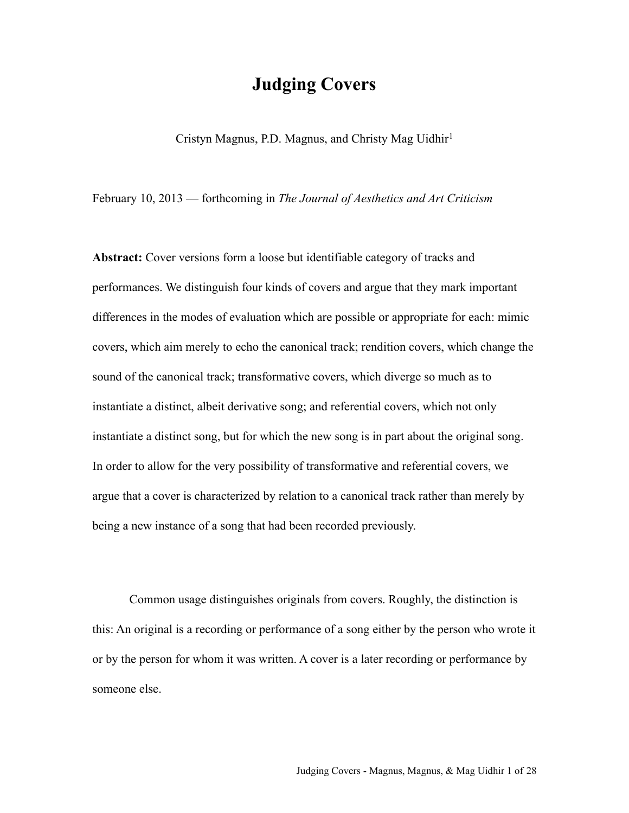# **Judging Covers**

Cristyn Magnus, P.D. Magnus, and Christy Mag Uidhir<sup>[1](#page-23-0)</sup>

February 10, 2013 — forthcoming in *The Journal of Aesthetics and Art Criticism*

Abstract: Cover versions form a loose but identifiable category of tracks and performances. We distinguish four kinds of covers and argue that they mark important differences in the modes of evaluation which are possible or appropriate for each: mimic covers, which aim merely to echo the canonical track; rendition covers, which change the sound of the canonical track; transformative covers, which diverge so much as to instantiate a distinct, albeit derivative song; and referential covers, which not only instantiate a distinct song, but for which the new song is in part about the original song. In order to allow for the very possibility of transformative and referential covers, we argue that a cover is characterized by relation to a canonical track rather than merely by being a new instance of a song that had been recorded previously.

Common usage distinguishes originals from covers. Roughly, the distinction is this: An original is a recording or performance of a song either by the person who wrote it or by the person for whom it was written. A cover is a later recording or performance by someone else.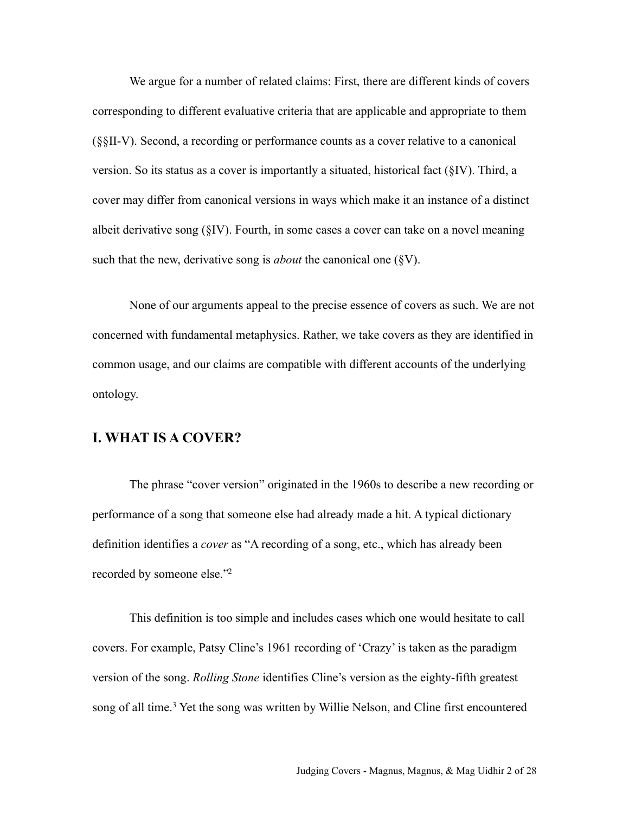We argue for a number of related claims: First, there are different kinds of covers corresponding to different evaluative criteria that are applicable and appropriate to them (§§II-V). Second, a recording or performance counts as a cover relative to a canonical version. So its status as a cover is importantly a situated, historical fact (§IV). Third, a cover may differ from canonical versions in ways which make it an instance of a distinct albeit derivative song (§IV). Fourth, in some cases a cover can take on a novel meaning such that the new, derivative song is *about* the canonical one (§V).

None of our arguments appeal to the precise essence of covers as such. We are not concerned with fundamental metaphysics. Rather, we take covers as they are identified in common usage, and our claims are compatible with different accounts of the underlying ontology.

## **I. WHAT IS A COVER?**

The phrase "cover version" originated in the 1960s to describe a new recording or performance of a song that someone else had already made a hit. A typical dictionary definition identifies a *cover* as "A recording of a song, etc., which has already been recorded by someone else.["2](#page-23-1)

This definition is too simple and includes cases which one would hesitate to call covers. For example, Patsy Cline's 1961 recording of 'Crazy' is taken as the paradigm version of the song. *Rolling Stone* identifies Cline's version as the eighty-fifth greatest song of all time.<sup>3</sup> Yet the song was written by Willie Nelson, and Cline first encountered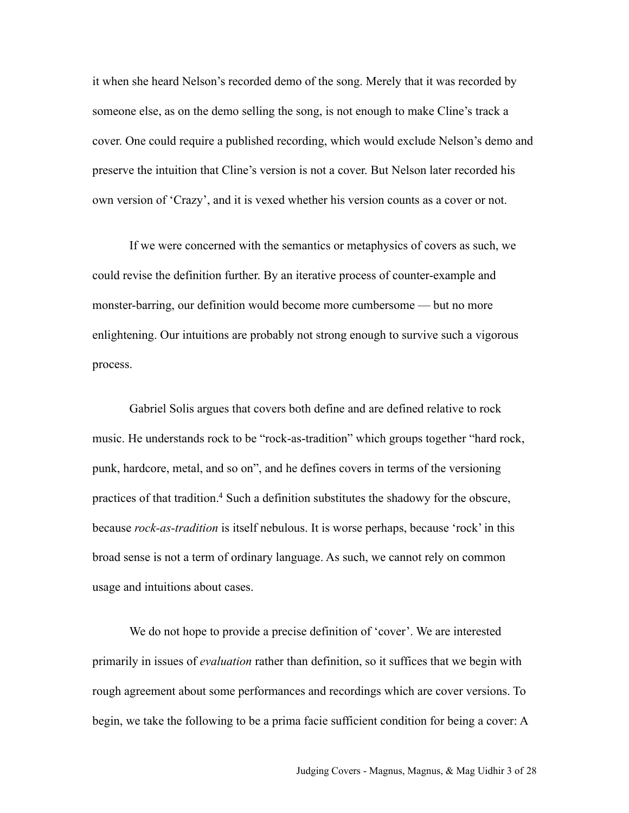it when she heard Nelson's recorded demo of the song. Merely that it was recorded by someone else, as on the demo selling the song, is not enough to make Cline's track a cover. One could require a published recording, which would exclude Nelson's demo and preserve the intuition that Cline's version is not a cover. But Nelson later recorded his own version of 'Crazy', and it is vexed whether his version counts as a cover or not.

If we were concerned with the semantics or metaphysics of covers as such, we could revise the definition further. By an iterative process of counter-example and monster-barring, our definition would become more cumbersome — but no more enlightening. Our intuitions are probably not strong enough to survive such a vigorous process.

Gabriel Solis argues that covers both define and are defined relative to rock music. He understands rock to be "rock-as-tradition" which groups together "hard rock, punk, hardcore, metal, and so on", and he defines covers in terms of the versioning practices of that tradition.<sup>4</sup> Such a definition substitutes the shadowy for the obscure, because *rock-as-tradition* is itself nebulous. It is worse perhaps, because 'rock' in this broad sense is not a term of ordinary language. As such, we cannot rely on common usage and intuitions about cases.

We do not hope to provide a precise definition of 'cover'. We are interested primarily in issues of *evaluation* rather than definition, so it suffices that we begin with rough agreement about some performances and recordings which are cover versions. To begin, we take the following to be a prima facie sufficient condition for being a cover: A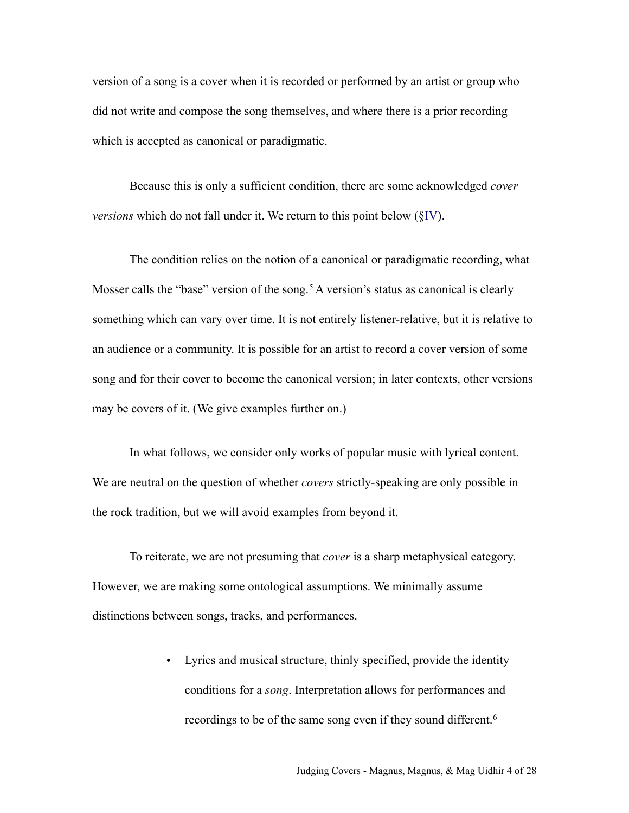version of a song is a cover when it is recorded or performed by an artist or group who did not write and compose the song themselves, and where there is a prior recording which is accepted as canonical or paradigmatic.

Because this is only a sufficient condition, there are some acknowledged *cover versions* which do not fall under it. We return to this point below (§IV).

The condition relies on the notion of a canonical or paradigmatic recording, what Mosser calls the "base" version of the song.<sup>5</sup> A version's status as canonical is clearly something which can vary over time. It is not entirely listener-relative, but it is relative to an audience or a community. It is possible for an artist to record a cover version of some song and for their cover to become the canonical version; in later contexts, other versions may be covers of it. (We give examples further on.)

In what follows, we consider only works of popular music with lyrical content. We are neutral on the question of whether *covers* strictly-speaking are only possible in the rock tradition, but we will avoid examples from beyond it.

To reiterate, we are not presuming that *cover* is a sharp metaphysical category. However, we are making some ontological assumptions. We minimally assume distinctions between songs, tracks, and performances.

> • Lyrics and musical structure, thinly specified, provide the identity conditions for a *song*. Interpretation allows for performances and recordings to be of the same song even if they sound different.<sup>[6](#page-24-0)</sup>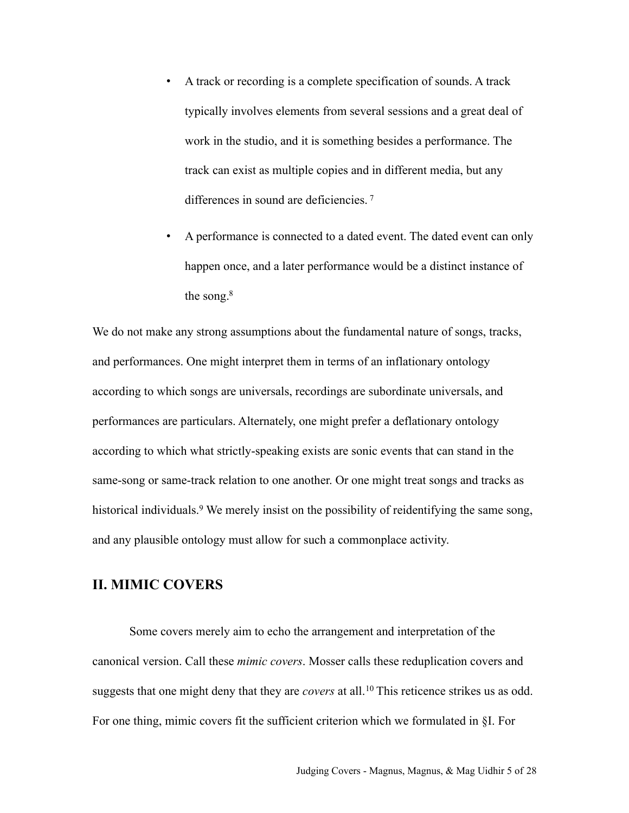- A track or recording is a complete specification of sounds. A track typically involves elements from several sessions and a great deal of work in the studio, and it is something besides a performance. The track can exist as multiple copies and in different media, but any differences in sound are deficiencies. [7](#page-24-1)
- A performance is connected to a dated event. The dated event can only happen once, and a later performance would be a distinct instance of the song.<sup>8</sup>

We do not make any strong assumptions about the fundamental nature of songs, tracks, and performances. One might interpret them in terms of an inflationary ontology according to which songs are universals, recordings are subordinate universals, and performances are particulars. Alternately, one might prefer a deflationary ontology according to which what strictly-speaking exists are sonic events that can stand in the same-song or same-track relation to one another. Or one might treat songs and tracks as historical individuals.<sup>9</sup> We merely insist on the possibility of reidentifying the same song, and any plausible ontology must allow for such a commonplace activity.

## **II. MIMIC COVERS**

Some covers merely aim to echo the arrangement and interpretation of the canonical version. Call these *mimic covers*. Mosser calls these reduplication covers and suggests that one might deny that they are *covers* at all.[10](#page-24-4) This reticence strikes us as odd. For one thing, mimic covers fit the sufficient criterion which we formulated in §I. For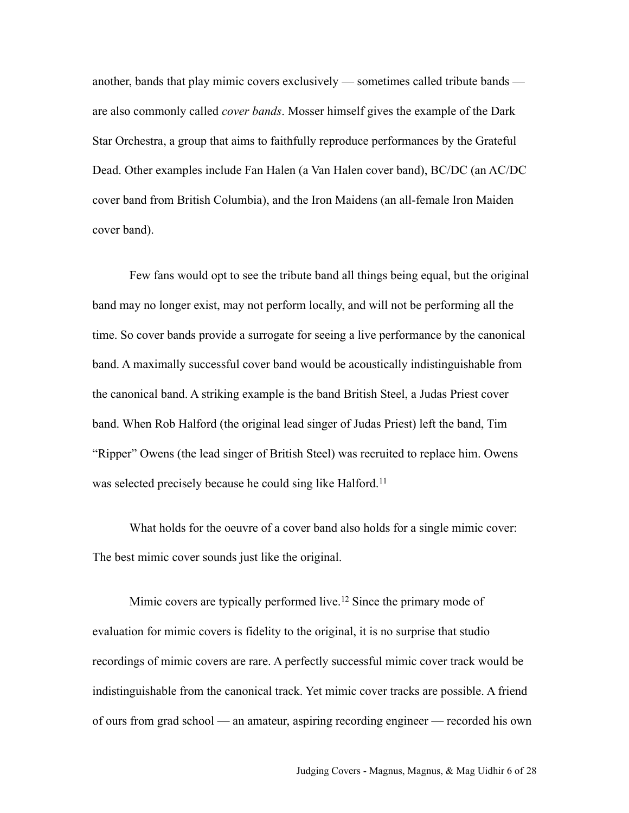another, bands that play mimic covers exclusively — sometimes called tribute bands are also commonly called *cover bands*. Mosser himself gives the example of the Dark Star Orchestra, a group that aims to faithfully reproduce performances by the Grateful Dead. Other examples include Fan Halen (a Van Halen cover band), BC/DC (an AC/DC cover band from British Columbia), and the Iron Maidens (an all-female Iron Maiden cover band).

Few fans would opt to see the tribute band all things being equal, but the original band may no longer exist, may not perform locally, and will not be performing all the time. So cover bands provide a surrogate for seeing a live performance by the canonical band. A maximally successful cover band would be acoustically indistinguishable from the canonical band. A striking example is the band British Steel, a Judas Priest cover band. When Rob Halford (the original lead singer of Judas Priest) left the band, Tim "Ripper" Owens (the lead singer of British Steel) was recruited to replace him. Owens was selected precisely because he could sing like Halford.<sup>[11](#page-24-5)</sup>

What holds for the oeuvre of a cover band also holds for a single mimic cover: The best mimic cover sounds just like the original.

Mimic covers are typically performed live.<sup>12</sup> Since the primary mode of evaluation for mimic covers is fidelity to the original, it is no surprise that studio recordings of mimic covers are rare. A perfectly successful mimic cover track would be indistinguishable from the canonical track. Yet mimic cover tracks are possible. A friend of ours from grad school — an amateur, aspiring recording engineer — recorded his own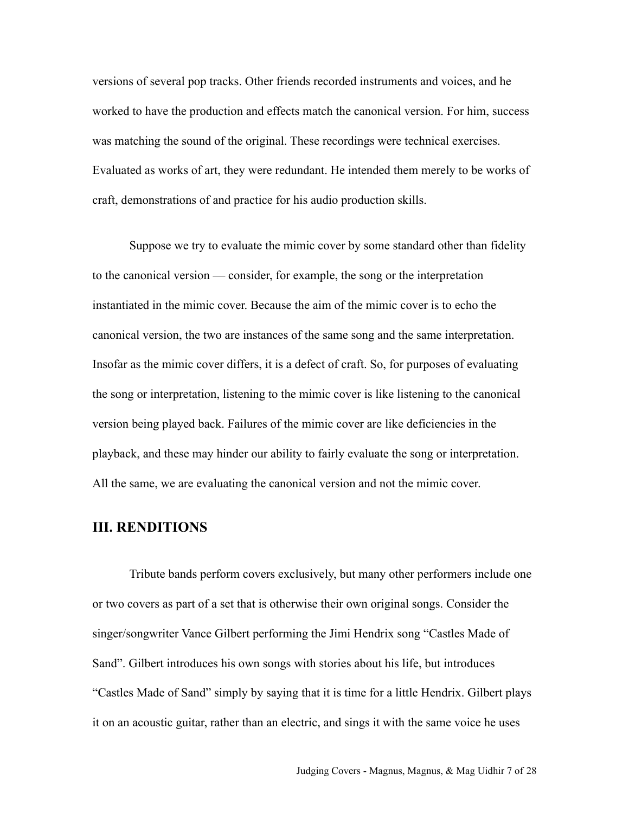versions of several pop tracks. Other friends recorded instruments and voices, and he worked to have the production and effects match the canonical version. For him, success was matching the sound of the original. These recordings were technical exercises. Evaluated as works of art, they were redundant. He intended them merely to be works of craft, demonstrations of and practice for his audio production skills.

Suppose we try to evaluate the mimic cover by some standard other than fidelity to the canonical version — consider, for example, the song or the interpretation instantiated in the mimic cover. Because the aim of the mimic cover is to echo the canonical version, the two are instances of the same song and the same interpretation. Insofar as the mimic cover differs, it is a defect of craft. So, for purposes of evaluating the song or interpretation, listening to the mimic cover is like listening to the canonical version being played back. Failures of the mimic cover are like deficiencies in the playback, and these may hinder our ability to fairly evaluate the song or interpretation. All the same, we are evaluating the canonical version and not the mimic cover.

## **III. RENDITIONS**

Tribute bands perform covers exclusively, but many other performers include one or two covers as part of a set that is otherwise their own original songs. Consider the singer/songwriter Vance Gilbert performing the Jimi Hendrix song "Castles Made of Sand". Gilbert introduces his own songs with stories about his life, but introduces "Castles Made of Sand" simply by saying that it is time for a little Hendrix. Gilbert plays it on an acoustic guitar, rather than an electric, and sings it with the same voice he uses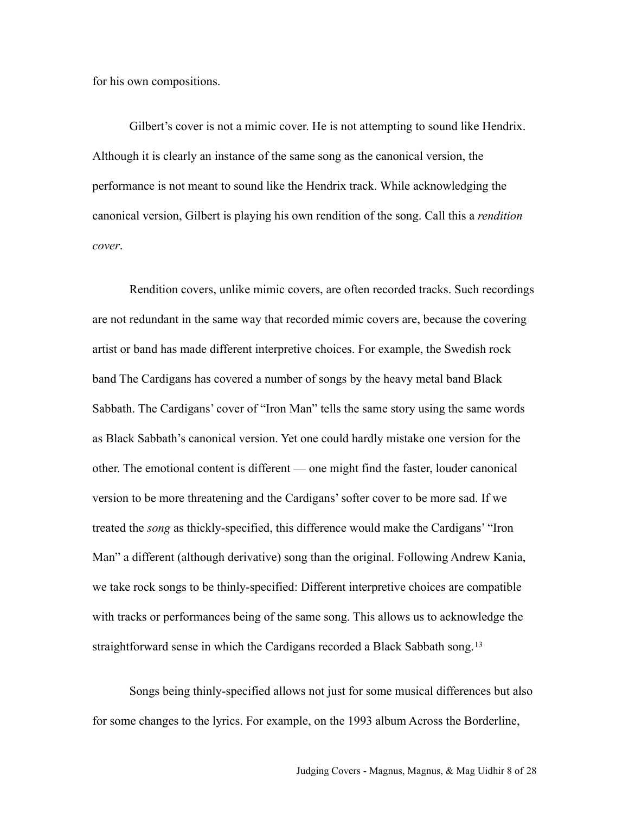for his own compositions.

Gilbert's cover is not a mimic cover. He is not attempting to sound like Hendrix. Although it is clearly an instance of the same song as the canonical version, the performance is not meant to sound like the Hendrix track. While acknowledging the canonical version, Gilbert is playing his own rendition of the song. Call this a *rendition cover*.

Rendition covers, unlike mimic covers, are often recorded tracks. Such recordings are not redundant in the same way that recorded mimic covers are, because the covering artist or band has made different interpretive choices. For example, the Swedish rock band The Cardigans has covered a number of songs by the heavy metal band Black Sabbath. The Cardigans' cover of "Iron Man" tells the same story using the same words as Black Sabbath's canonical version. Yet one could hardly mistake one version for the other. The emotional content is different — one might find the faster, louder canonical version to be more threatening and the Cardigans' softer cover to be more sad. If we treated the *song* as thickly-specified, this difference would make the Cardigans' "Iron Man" a different (although derivative) song than the original. Following Andrew Kania, we take rock songs to be thinly-specified: Different interpretive choices are compatible with tracks or performances being of the same song. This allows us to acknowledge the straightforward sense in which the Cardigans recorded a Black Sabbath song.<sup>[13](#page-25-1)</sup>

Songs being thinly-specified allows not just for some musical differences but also for some changes to the lyrics. For example, on the 1993 album Across the Borderline,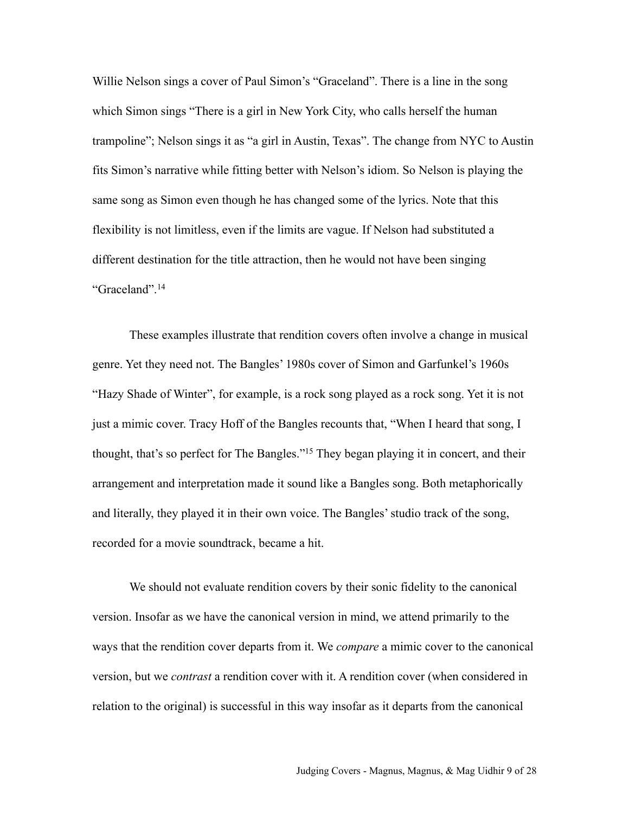Willie Nelson sings a cover of Paul Simon's "Graceland". There is a line in the song which Simon sings "There is a girl in New York City, who calls herself the human trampoline"; Nelson sings it as "a girl in Austin, Texas". The change from NYC to Austin fits Simon's narrative while fitting better with Nelson's idiom. So Nelson is playing the same song as Simon even though he has changed some of the lyrics. Note that this flexibility is not limitless, even if the limits are vague. If Nelson had substituted a different destination for the title attraction, then he would not have been singing "Graceland".[14](#page-25-2)

These examples illustrate that rendition covers often involve a change in musical genre. Yet they need not. The Bangles' 1980s cover of Simon and Garfunkel's 1960s "Hazy Shade of Winter", for example, is a rock song played as a rock song. Yet it is not just a mimic cover. Tracy Hoff of the Bangles recounts that, "When I heard that song, I thought, that's so perfect for The Bangles.["15](#page-25-3) They began playing it in concert, and their arrangement and interpretation made it sound like a Bangles song. Both metaphorically and literally, they played it in their own voice. The Bangles' studio track of the song, recorded for a movie soundtrack, became a hit.

We should not evaluate rendition covers by their sonic fidelity to the canonical version. Insofar as we have the canonical version in mind, we attend primarily to the ways that the rendition cover departs from it. We *compare* a mimic cover to the canonical version, but we *contrast* a rendition cover with it. A rendition cover (when considered in relation to the original) is successful in this way insofar as it departs from the canonical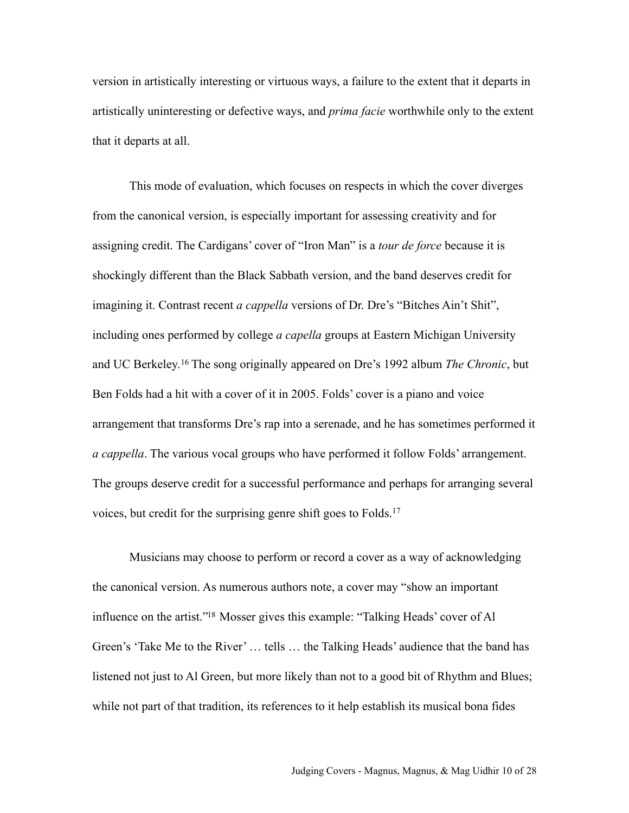version in artistically interesting or virtuous ways, a failure to the extent that it departs in artistically uninteresting or defective ways, and *prima facie* worthwhile only to the extent that it departs at all.

This mode of evaluation, which focuses on respects in which the cover diverges from the canonical version, is especially important for assessing creativity and for assigning credit. The Cardigans' cover of "Iron Man" is a *tour de force* because it is shockingly different than the Black Sabbath version, and the band deserves credit for imagining it. Contrast recent *a cappella* versions of Dr. Dre's "Bitches Ain't Shit", including ones performed by college *a capella* groups at Eastern Michigan University and UC Berkeley.[16](#page-25-4) The song originally appeared on Dre's 1992 album *The Chronic*, but Ben Folds had a hit with a cover of it in 2005. Folds' cover is a piano and voice arrangement that transforms Dre's rap into a serenade, and he has sometimes performed it *a cappella*. The various vocal groups who have performed it follow Folds' arrangement. The groups deserve credit for a successful performance and perhaps for arranging several voices, but credit for the surprising genre shift goes to Folds.[17](#page-25-5)

Musicians may choose to perform or record a cover as a way of acknowledging the canonical version. As numerous authors note, a cover may "show an important influence on the artist.["18](#page-25-6) Mosser gives this example: "Talking Heads' cover of Al Green's 'Take Me to the River' … tells … the Talking Heads' audience that the band has listened not just to Al Green, but more likely than not to a good bit of Rhythm and Blues; while not part of that tradition, its references to it help establish its musical bona fides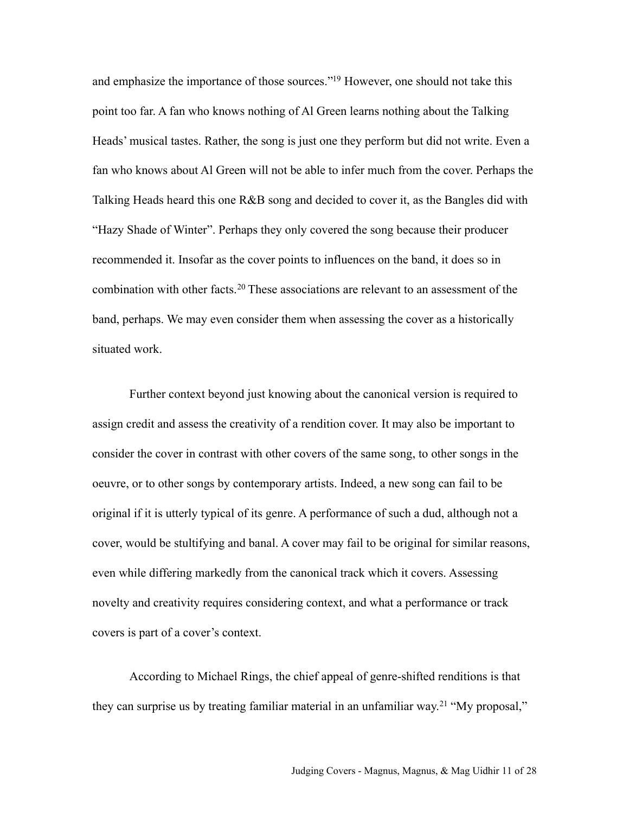and emphasize the importance of those sources.["19](#page-25-7) However, one should not take this point too far. A fan who knows nothing of Al Green learns nothing about the Talking Heads' musical tastes. Rather, the song is just one they perform but did not write. Even a fan who knows about Al Green will not be able to infer much from the cover. Perhaps the Talking Heads heard this one R&B song and decided to cover it, as the Bangles did with "Hazy Shade of Winter". Perhaps they only covered the song because their producer recommended it. Insofar as the cover points to influences on the band, it does so in combination with other facts.<sup>20</sup> These associations are relevant to an assessment of the band, perhaps. We may even consider them when assessing the cover as a historically situated work.

Further context beyond just knowing about the canonical version is required to assign credit and assess the creativity of a rendition cover. It may also be important to consider the cover in contrast with other covers of the same song, to other songs in the oeuvre, or to other songs by contemporary artists. Indeed, a new song can fail to be original if it is utterly typical of its genre. A performance of such a dud, although not a cover, would be stultifying and banal. A cover may fail to be original for similar reasons, even while differing markedly from the canonical track which it covers. Assessing novelty and creativity requires considering context, and what a performance or track covers is part of a cover's context.

According to Michael Rings, the chief appeal of genre-shifted renditions is that they can surprise us by treating familiar material in an unfamiliar way.[21](#page-26-1) "My proposal,"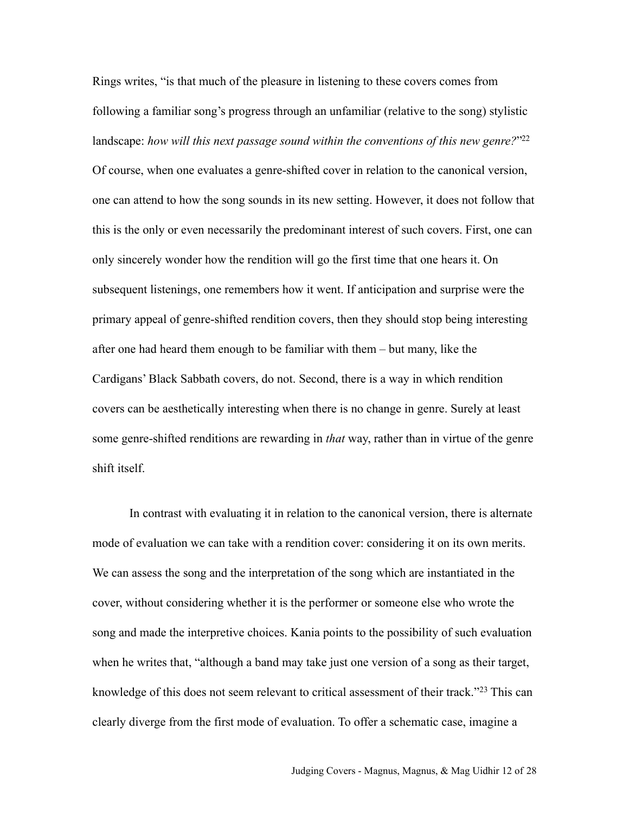Rings writes, "is that much of the pleasure in listening to these covers comes from following a familiar song's progress through an unfamiliar (relative to the song) stylistic landscape: *how will this next passage sound within the conventions of this new genre?*"<sup>22</sup> Of course, when one evaluates a genre-shifted cover in relation to the canonical version, one can attend to how the song sounds in its new setting. However, it does not follow that this is the only or even necessarily the predominant interest of such covers. First, one can only sincerely wonder how the rendition will go the first time that one hears it. On subsequent listenings, one remembers how it went. If anticipation and surprise were the primary appeal of genre-shifted rendition covers, then they should stop being interesting after one had heard them enough to be familiar with them – but many, like the Cardigans' Black Sabbath covers, do not. Second, there is a way in which rendition covers can be aesthetically interesting when there is no change in genre. Surely at least some genre-shifted renditions are rewarding in *that* way, rather than in virtue of the genre shift itself.

In contrast with evaluating it in relation to the canonical version, there is alternate mode of evaluation we can take with a rendition cover: considering it on its own merits. We can assess the song and the interpretation of the song which are instantiated in the cover, without considering whether it is the performer or someone else who wrote the song and made the interpretive choices. Kania points to the possibility of such evaluation when he writes that, "although a band may take just one version of a song as their target, knowledge of this does not seem relevant to critical assessment of their track."[23](#page-26-3) This can clearly diverge from the first mode of evaluation. To offer a schematic case, imagine a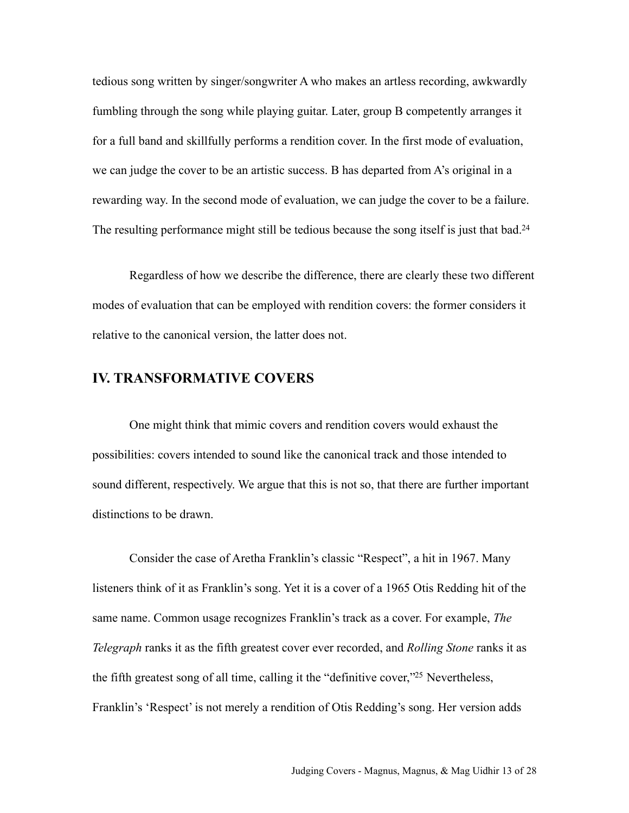tedious song written by singer/songwriter A who makes an artless recording, awkwardly fumbling through the song while playing guitar. Later, group B competently arranges it for a full band and skillfully performs a rendition cover. In the first mode of evaluation, we can judge the cover to be an artistic success. B has departed from A's original in a rewarding way. In the second mode of evaluation, we can judge the cover to be a failure. The resulting performance might still be tedious because the song itself is just that bad.<sup>24</sup>

Regardless of how we describe the difference, there are clearly these two different modes of evaluation that can be employed with rendition covers: the former considers it relative to the canonical version, the latter does not.

#### **IV. TRANSFORMATIVE COVERS**

One might think that mimic covers and rendition covers would exhaust the possibilities: covers intended to sound like the canonical track and those intended to sound different, respectively. We argue that this is not so, that there are further important distinctions to be drawn.

Consider the case of Aretha Franklin's classic "Respect", a hit in 1967. Many listeners think of it as Franklin's song. Yet it is a cover of a 1965 Otis Redding hit of the same name. Common usage recognizes Franklin's track as a cover. For example, *The Telegraph* ranks it as the fifth greatest cover ever recorded, and *Rolling Stone* ranks it as the fifth greatest song of all time, calling it the "definitive cover,["25](#page-26-5) Nevertheless, Franklin's 'Respect' is not merely a rendition of Otis Redding's song. Her version adds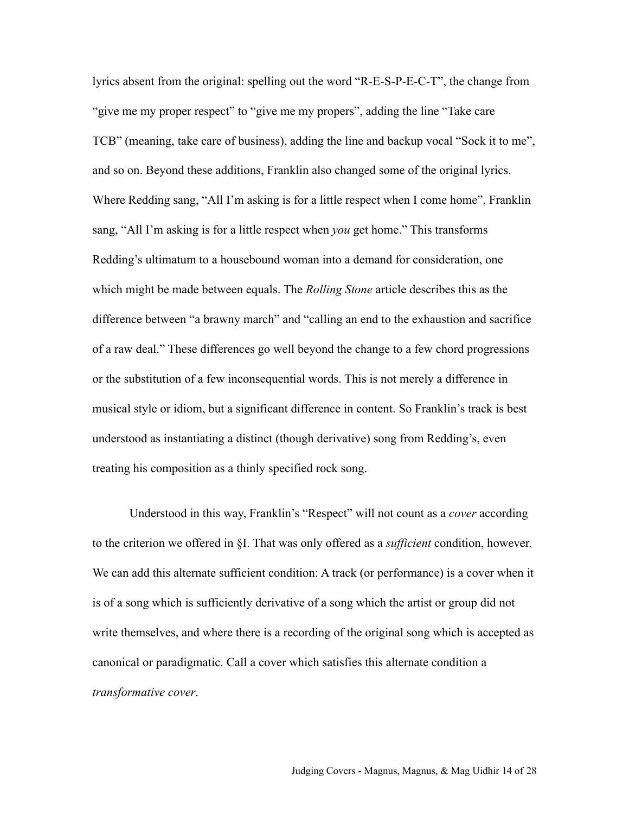lyrics absent from the original: spelling out the word "R-E-S-P-E-C-T", the change from "give me my proper respect" to "give me my propers", adding the line "Take care TCB" (meaning, take care of business), adding the line and backup vocal "Sock it to me", and so on. Beyond these additions, Franklin also changed some of the original lyrics. Where Redding sang, "All I'm asking is for a little respect when I come home", Franklin sang, "All I'm asking is for a little respect when *you* get home." This transforms Redding's ultimatum to a housebound woman into a demand for consideration, one which might be made between equals. The *Rolling Stone* article describes this as the difference between "a brawny march" and "calling an end to the exhaustion and sacrifice of a raw deal." These differences go well beyond the change to a few chord progressions or the substitution of a few inconsequential words. This is not merely a difference in musical style or idiom, but a significant difference in content. So Franklin's track is best understood as instantiating a distinct (though derivative) song from Redding's, even treating his composition as a thinly specified rock song.

Understood in this way, Franklin's "Respect" will not count as a *cover* according to the criterion we offered in §I. That was only offered as a *sufficient* condition, however. We can add this alternate sufficient condition: A track (or performance) is a cover when it is of a song which is sufficiently derivative of a song which the artist or group did not write themselves, and where there is a recording of the original song which is accepted as canonical or paradigmatic. Call a cover which satisfies this alternate condition a *transformative cover*.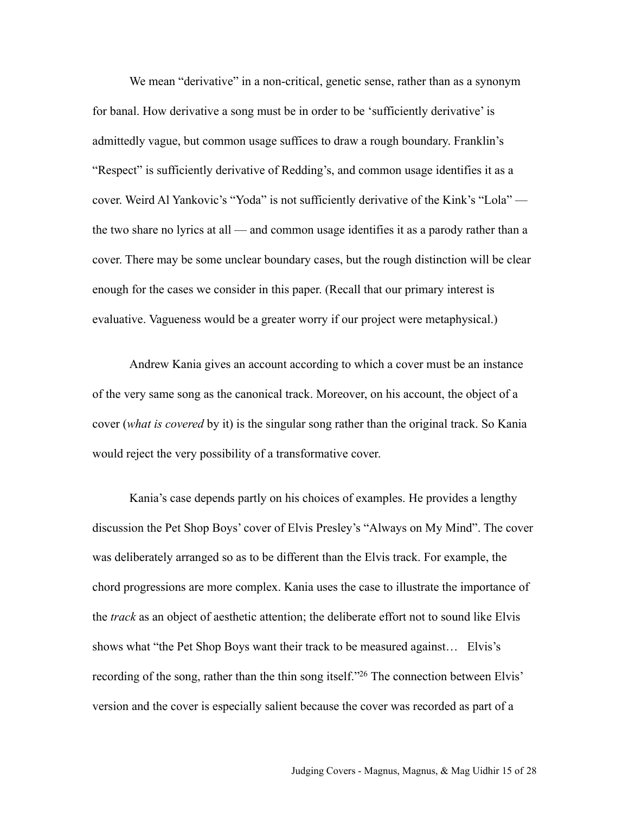We mean "derivative" in a non-critical, genetic sense, rather than as a synonym for banal. How derivative a song must be in order to be 'sufficiently derivative' is admittedly vague, but common usage suffices to draw a rough boundary. Franklin's "Respect" is sufficiently derivative of Redding's, and common usage identifies it as a cover. Weird Al Yankovic's "Yoda" is not sufficiently derivative of the Kink's "Lola" the two share no lyrics at all — and common usage identifies it as a parody rather than a cover. There may be some unclear boundary cases, but the rough distinction will be clear enough for the cases we consider in this paper. (Recall that our primary interest is evaluative. Vagueness would be a greater worry if our project were metaphysical.)

Andrew Kania gives an account according to which a cover must be an instance of the very same song as the canonical track. Moreover, on his account, the object of a cover (*what is covered* by it) is the singular song rather than the original track. So Kania would reject the very possibility of a transformative cover.

Kania's case depends partly on his choices of examples. He provides a lengthy discussion the Pet Shop Boys' cover of Elvis Presley's "Always on My Mind". The cover was deliberately arranged so as to be different than the Elvis track. For example, the chord progressions are more complex. Kania uses the case to illustrate the importance of the *track* as an object of aesthetic attention; the deliberate effort not to sound like Elvis shows what "the Pet Shop Boys want their track to be measured against… Elvis's recording of the song, rather than the thin song itself.["26](#page-26-6) The connection between Elvis' version and the cover is especially salient because the cover was recorded as part of a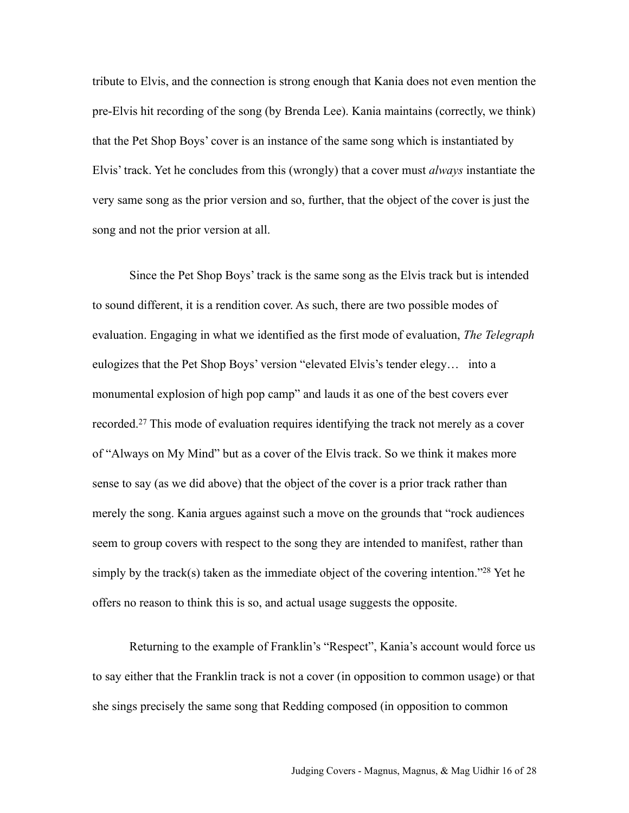tribute to Elvis, and the connection is strong enough that Kania does not even mention the pre-Elvis hit recording of the song (by Brenda Lee). Kania maintains (correctly, we think) that the Pet Shop Boys' cover is an instance of the same song which is instantiated by Elvis' track. Yet he concludes from this (wrongly) that a cover must *always* instantiate the very same song as the prior version and so, further, that the object of the cover is just the song and not the prior version at all.

Since the Pet Shop Boys' track is the same song as the Elvis track but is intended to sound different, it is a rendition cover. As such, there are two possible modes of evaluation. Engaging in what we identified as the first mode of evaluation, *The Telegraph*  eulogizes that the Pet Shop Boys' version "elevated Elvis's tender elegy… into a monumental explosion of high pop camp" and lauds it as one of the best covers ever recorded.[27](#page-26-7) This mode of evaluation requires identifying the track not merely as a cover of "Always on My Mind" but as a cover of the Elvis track. So we think it makes more sense to say (as we did above) that the object of the cover is a prior track rather than merely the song. Kania argues against such a move on the grounds that "rock audiences seem to group covers with respect to the song they are intended to manifest, rather than simply by the track(s) taken as the immediate object of the covering intention."<sup>28</sup> Yet he offers no reason to think this is so, and actual usage suggests the opposite.

Returning to the example of Franklin's "Respect", Kania's account would force us to say either that the Franklin track is not a cover (in opposition to common usage) or that she sings precisely the same song that Redding composed (in opposition to common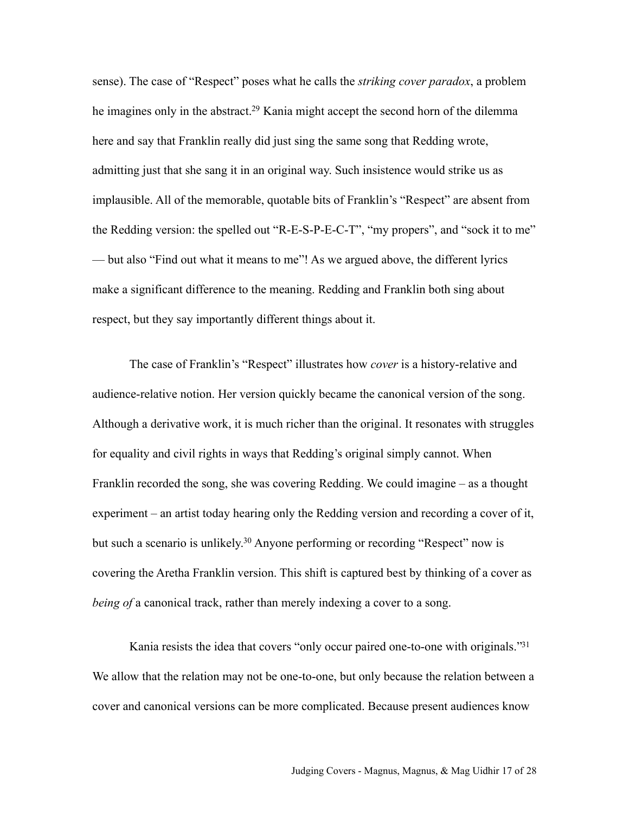sense). The case of "Respect" poses what he calls the *striking cover paradox*, a problem he imagines only in the abstract.<sup>29</sup> Kania might accept the second horn of the dilemma here and say that Franklin really did just sing the same song that Redding wrote, admitting just that she sang it in an original way. Such insistence would strike us as implausible. All of the memorable, quotable bits of Franklin's "Respect" are absent from the Redding version: the spelled out "R-E-S-P-E-C-T", "my propers", and "sock it to me" — but also "Find out what it means to me"! As we argued above, the different lyrics make a significant difference to the meaning. Redding and Franklin both sing about respect, but they say importantly different things about it.

The case of Franklin's "Respect" illustrates how *cover* is a history-relative and audience-relative notion. Her version quickly became the canonical version of the song. Although a derivative work, it is much richer than the original. It resonates with struggles for equality and civil rights in ways that Redding's original simply cannot. When Franklin recorded the song, she was covering Redding. We could imagine – as a thought experiment – an artist today hearing only the Redding version and recording a cover of it, but such a scenario is unlikely.<sup>30</sup> Anyone performing or recording "Respect" now is covering the Aretha Franklin version. This shift is captured best by thinking of a cover as *being of a canonical track, rather than merely indexing a cover to a song.* 

Kania resists the idea that covers "only occur paired one-to-one with originals."<sup>31</sup> We allow that the relation may not be one-to-one, but only because the relation between a cover and canonical versions can be more complicated. Because present audiences know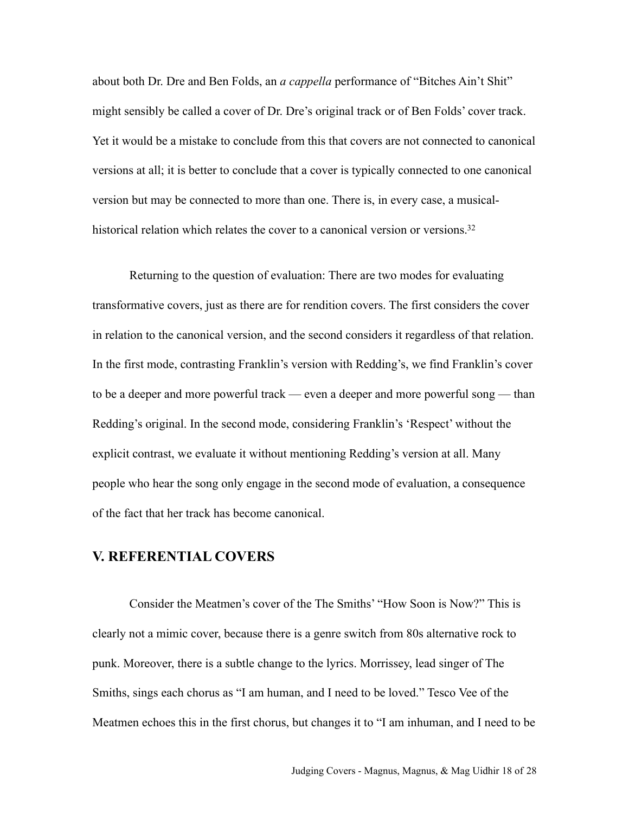about both Dr. Dre and Ben Folds, an *a cappella* performance of "Bitches Ain't Shit" might sensibly be called a cover of Dr. Dre's original track or of Ben Folds' cover track. Yet it would be a mistake to conclude from this that covers are not connected to canonical versions at all; it is better to conclude that a cover is typically connected to one canonical version but may be connected to more than one. There is, in every case, a musicalhistorical relation which relates the cover to a canonical version or versions.<sup>32</sup>

Returning to the question of evaluation: There are two modes for evaluating transformative covers, just as there are for rendition covers. The first considers the cover in relation to the canonical version, and the second considers it regardless of that relation. In the first mode, contrasting Franklin's version with Redding's, we find Franklin's cover to be a deeper and more powerful track — even a deeper and more powerful song — than Redding's original. In the second mode, considering Franklin's 'Respect' without the explicit contrast, we evaluate it without mentioning Redding's version at all. Many people who hear the song only engage in the second mode of evaluation, a consequence of the fact that her track has become canonical.

#### **V. REFERENTIAL COVERS**

Consider the Meatmen's cover of the The Smiths' "How Soon is Now?" This is clearly not a mimic cover, because there is a genre switch from 80s alternative rock to punk. Moreover, there is a subtle change to the lyrics. Morrissey, lead singer of The Smiths, sings each chorus as "I am human, and I need to be loved." Tesco Vee of the Meatmen echoes this in the first chorus, but changes it to "I am inhuman, and I need to be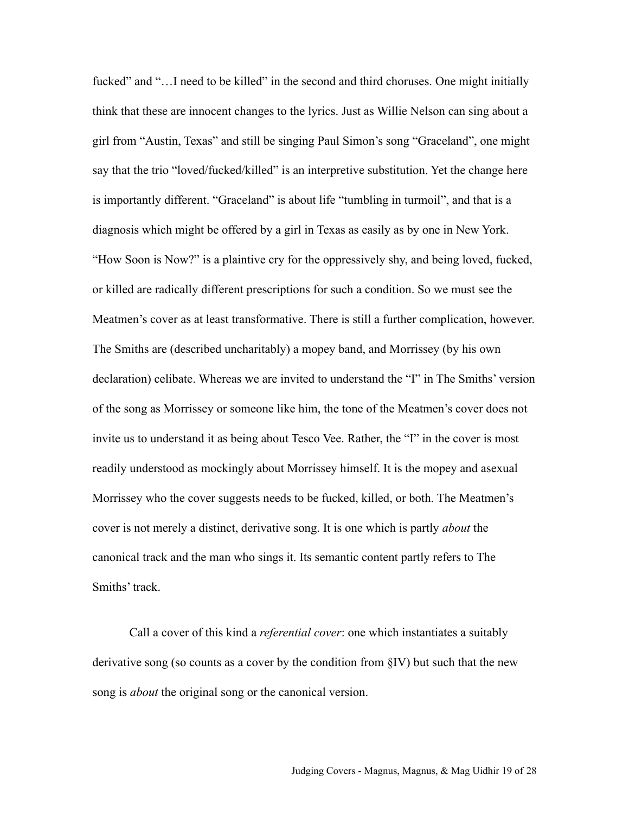fucked" and "... I need to be killed" in the second and third choruses. One might initially think that these are innocent changes to the lyrics. Just as Willie Nelson can sing about a girl from "Austin, Texas" and still be singing Paul Simon's song "Graceland", one might say that the trio "loved/fucked/killed" is an interpretive substitution. Yet the change here is importantly different. "Graceland" is about life "tumbling in turmoil", and that is a diagnosis which might be offered by a girl in Texas as easily as by one in New York. "How Soon is Now?" is a plaintive cry for the oppressively shy, and being loved, fucked, or killed are radically different prescriptions for such a condition. So we must see the Meatmen's cover as at least transformative. There is still a further complication, however. The Smiths are (described uncharitably) a mopey band, and Morrissey (by his own declaration) celibate. Whereas we are invited to understand the "I" in The Smiths' version of the song as Morrissey or someone like him, the tone of the Meatmen's cover does not invite us to understand it as being about Tesco Vee. Rather, the "I" in the cover is most readily understood as mockingly about Morrissey himself. It is the mopey and asexual Morrissey who the cover suggests needs to be fucked, killed, or both. The Meatmen's cover is not merely a distinct, derivative song. It is one which is partly *about* the canonical track and the man who sings it. Its semantic content partly refers to The Smiths' track.

Call a cover of this kind a *referential cover*: one which instantiates a suitably derivative song (so counts as a cover by the condition from §IV) but such that the new song is *about* the original song or the canonical version.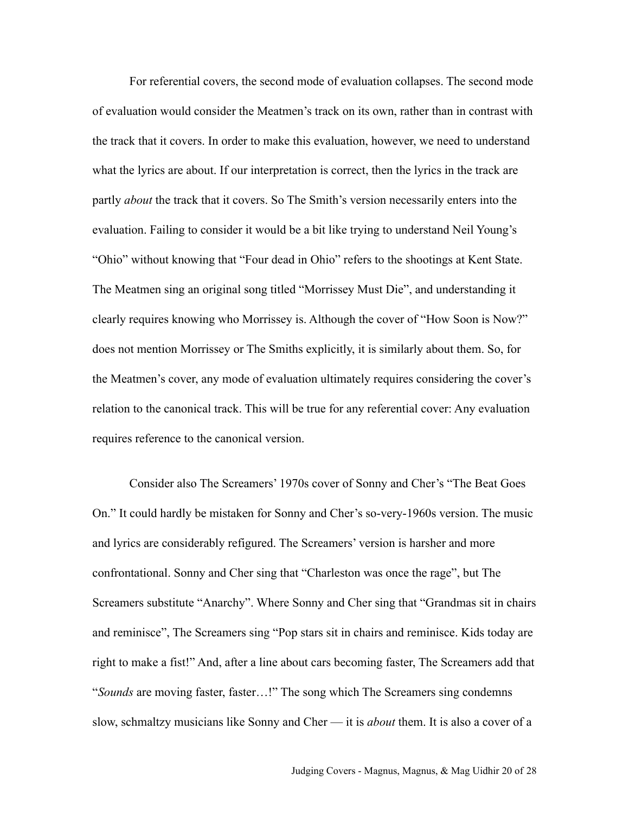For referential covers, the second mode of evaluation collapses. The second mode of evaluation would consider the Meatmen's track on its own, rather than in contrast with the track that it covers. In order to make this evaluation, however, we need to understand what the lyrics are about. If our interpretation is correct, then the lyrics in the track are partly *about* the track that it covers. So The Smith's version necessarily enters into the evaluation. Failing to consider it would be a bit like trying to understand Neil Young's "Ohio" without knowing that "Four dead in Ohio" refers to the shootings at Kent State. The Meatmen sing an original song titled "Morrissey Must Die", and understanding it clearly requires knowing who Morrissey is. Although the cover of "How Soon is Now?" does not mention Morrissey or The Smiths explicitly, it is similarly about them. So, for the Meatmen's cover, any mode of evaluation ultimately requires considering the cover's relation to the canonical track. This will be true for any referential cover: Any evaluation requires reference to the canonical version.

Consider also The Screamers' 1970s cover of Sonny and Cher's "The Beat Goes On." It could hardly be mistaken for Sonny and Cher's so-very-1960s version. The music and lyrics are considerably refigured. The Screamers' version is harsher and more confrontational. Sonny and Cher sing that "Charleston was once the rage", but The Screamers substitute "Anarchy". Where Sonny and Cher sing that "Grandmas sit in chairs and reminisce", The Screamers sing "Pop stars sit in chairs and reminisce. Kids today are right to make a fist!" And, after a line about cars becoming faster, The Screamers add that "*Sounds* are moving faster, faster…!" The song which The Screamers sing condemns slow, schmaltzy musicians like Sonny and Cher — it is *about* them. It is also a cover of a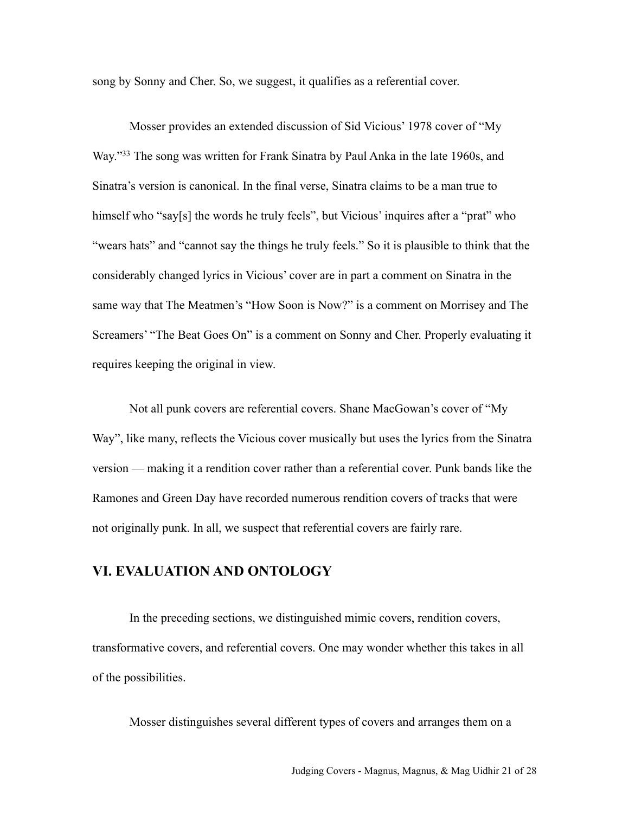song by Sonny and Cher. So, we suggest, it qualifies as a referential cover.

Mosser provides an extended discussion of Sid Vicious' 1978 cover of "My Way.["33](#page-27-4) The song was written for Frank Sinatra by Paul Anka in the late 1960s, and Sinatra's version is canonical. In the final verse, Sinatra claims to be a man true to himself who "say[s] the words he truly feels", but Vicious' inquires after a "prat" who "wears hats" and "cannot say the things he truly feels." So it is plausible to think that the considerably changed lyrics in Vicious' cover are in part a comment on Sinatra in the same way that The Meatmen's "How Soon is Now?" is a comment on Morrisey and The Screamers' "The Beat Goes On" is a comment on Sonny and Cher. Properly evaluating it requires keeping the original in view.

Not all punk covers are referential covers. Shane MacGowan's cover of "My Way", like many, reflects the Vicious cover musically but uses the lyrics from the Sinatra version — making it a rendition cover rather than a referential cover. Punk bands like the Ramones and Green Day have recorded numerous rendition covers of tracks that were not originally punk. In all, we suspect that referential covers are fairly rare.

## **VI. EVALUATION AND ONTOLOGY**

In the preceding sections, we distinguished mimic covers, rendition covers, transformative covers, and referential covers. One may wonder whether this takes in all of the possibilities.

Mosser distinguishes several different types of covers and arranges them on a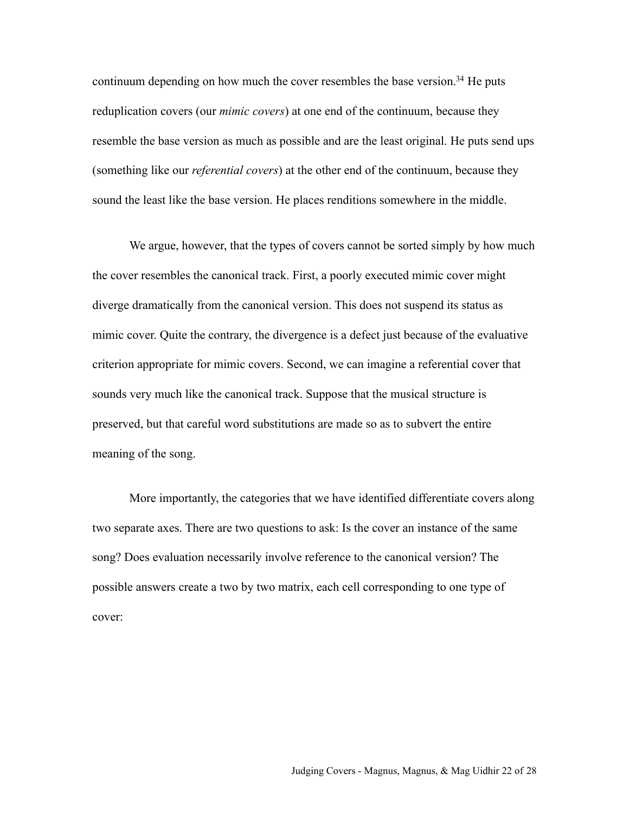continuum depending on how much the cover resembles the base version.<sup>34</sup> He puts reduplication covers (our *mimic covers*) at one end of the continuum, because they resemble the base version as much as possible and are the least original. He puts send ups (something like our *referential covers*) at the other end of the continuum, because they sound the least like the base version. He places renditions somewhere in the middle.

We argue, however, that the types of covers cannot be sorted simply by how much the cover resembles the canonical track. First, a poorly executed mimic cover might diverge dramatically from the canonical version. This does not suspend its status as mimic cover. Quite the contrary, the divergence is a defect just because of the evaluative criterion appropriate for mimic covers. Second, we can imagine a referential cover that sounds very much like the canonical track. Suppose that the musical structure is preserved, but that careful word substitutions are made so as to subvert the entire meaning of the song.

More importantly, the categories that we have identified differentiate covers along two separate axes. There are two questions to ask: Is the cover an instance of the same song? Does evaluation necessarily involve reference to the canonical version? The possible answers create a two by two matrix, each cell corresponding to one type of cover: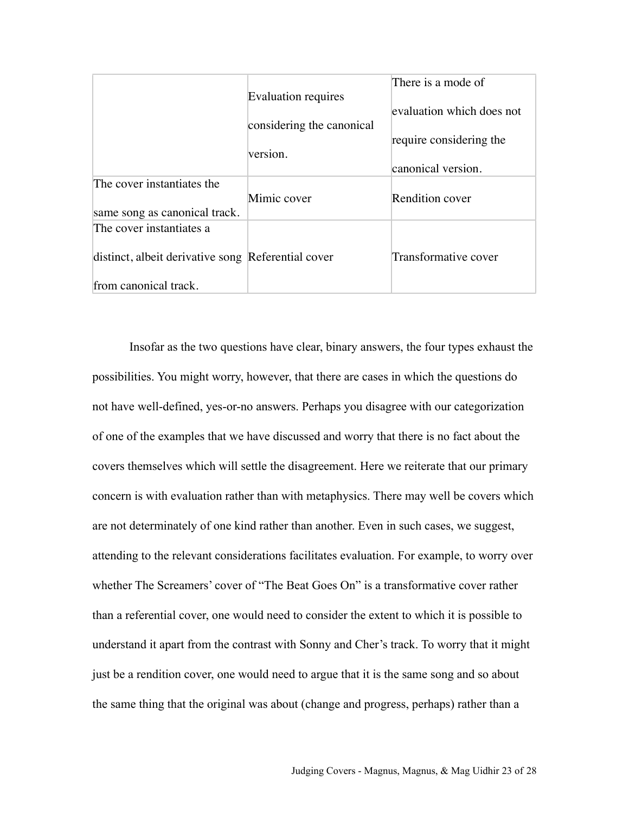|                                                    |                           | There is a mode of        |
|----------------------------------------------------|---------------------------|---------------------------|
|                                                    | Evaluation requires       |                           |
|                                                    |                           | evaluation which does not |
|                                                    | considering the canonical |                           |
|                                                    |                           | require considering the   |
|                                                    | version.                  |                           |
|                                                    |                           | canonical version.        |
| The cover instantiates the                         |                           |                           |
|                                                    | Mimic cover               | <b>Rendition cover</b>    |
| same song as canonical track.                      |                           |                           |
| The cover instantiates a                           |                           |                           |
|                                                    |                           |                           |
| distinct, albeit derivative song Referential cover |                           | Transformative cover      |
|                                                    |                           |                           |
| from canonical track.                              |                           |                           |

Insofar as the two questions have clear, binary answers, the four types exhaust the possibilities. You might worry, however, that there are cases in which the questions do not have well-defined, yes-or-no answers. Perhaps you disagree with our categorization of one of the examples that we have discussed and worry that there is no fact about the covers themselves which will settle the disagreement. Here we reiterate that our primary concern is with evaluation rather than with metaphysics. There may well be covers which are not determinately of one kind rather than another. Even in such cases, we suggest, attending to the relevant considerations facilitates evaluation. For example, to worry over whether The Screamers' cover of "The Beat Goes On" is a transformative cover rather than a referential cover, one would need to consider the extent to which it is possible to understand it apart from the contrast with Sonny and Cher's track. To worry that it might just be a rendition cover, one would need to argue that it is the same song and so about the same thing that the original was about (change and progress, perhaps) rather than a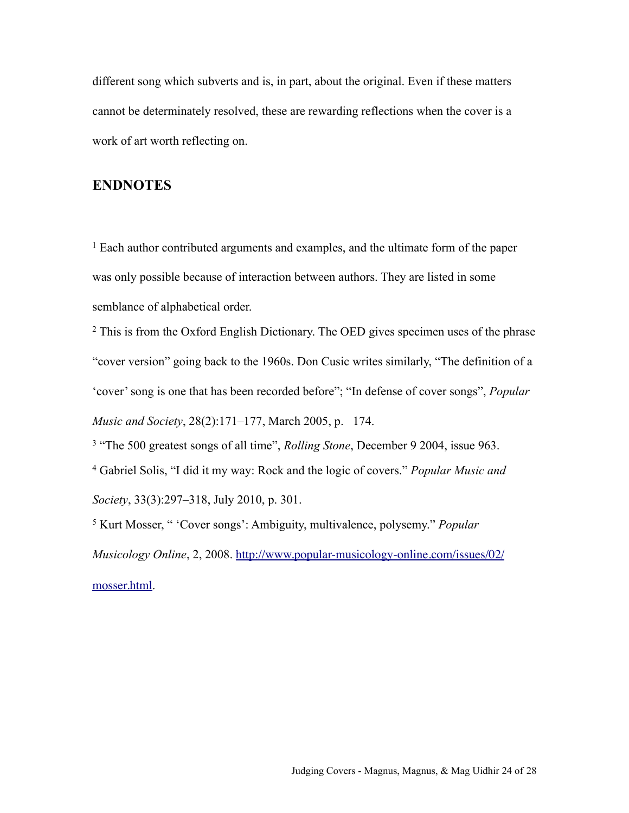different song which subverts and is, in part, about the original. Even if these matters cannot be determinately resolved, these are rewarding reflections when the cover is a work of art worth reflecting on.

#### **ENDNOTES**

<span id="page-23-0"></span>1 Each author contributed arguments and examples, and the ultimate form of the paper was only possible because of interaction between authors. They are listed in some semblance of alphabetical order.

<span id="page-23-1"></span><sup>2</sup> This is from the Oxford English Dictionary. The OED gives specimen uses of the phrase "cover version" going back to the 1960s. Don Cusic writes similarly, "The definition of a 'cover' song is one that has been recorded before"; "In defense of cover songs", *Popular Music and Society*, 28(2):171–177, March 2005, p. 174.

<span id="page-23-3"></span><span id="page-23-2"></span>3 "The 500 greatest songs of all time", *Rolling Stone*, December 9 2004, issue 963. 4 Gabriel Solis, "I did it my way: Rock and the logic of covers." *Popular Music and Society*, 33(3):297–318, July 2010, p. 301.

<span id="page-23-4"></span>5 Kurt Mosser, " 'Cover songs': Ambiguity, multivalence, polysemy." *Popular Musicology Online*, 2, 2008. [http://www.popular-musicology-online.com/issues/02/](http://www.popular-musicology-online.com/issues/02/mosser.html) [mosser.html](http://www.popular-musicology-online.com/issues/02/mosser.html).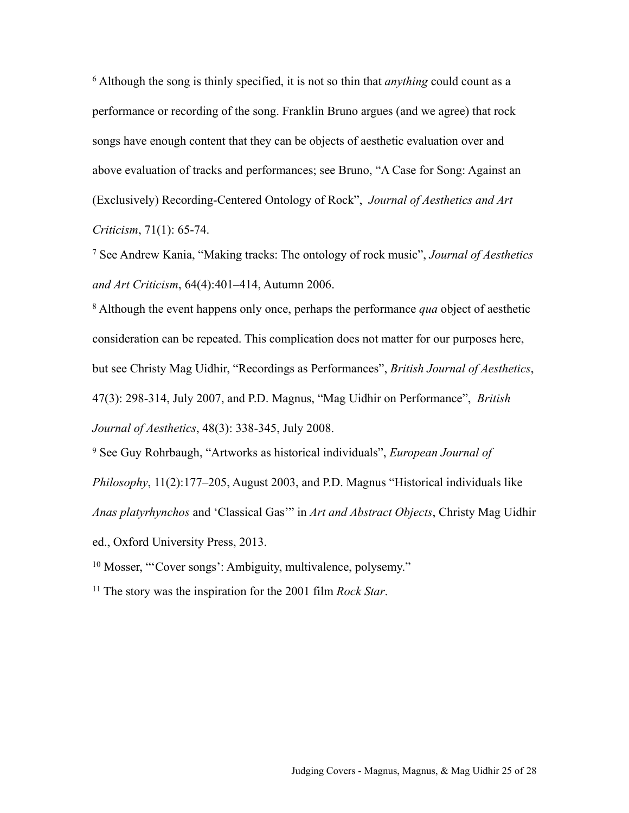<span id="page-24-0"></span>6 Although the song is thinly specified, it is not so thin that *anything* could count as a performance or recording of the song. Franklin Bruno argues (and we agree) that rock songs have enough content that they can be objects of aesthetic evaluation over and above evaluation of tracks and performances; see Bruno, "A Case for Song: Against an (Exclusively) Recording-Centered Ontology of Rock", *Journal of Aesthetics and Art Criticism*, 71(1): 65-74.

<span id="page-24-1"></span>7 See Andrew Kania, "Making tracks: The ontology of rock music", *Journal of Aesthetics and Art Criticism*, 64(4):401–414, Autumn 2006.

<span id="page-24-2"></span>8 Although the event happens only once, perhaps the performance *qua* object of aesthetic consideration can be repeated. This complication does not matter for our purposes here, but see Christy Mag Uidhir, "Recordings as Performances", *British Journal of Aesthetics*, 47(3): 298-314, July 2007, and P.D. Magnus, "Mag Uidhir on Performance", *British Journal of Aesthetics*, 48(3): 338-345, July 2008.

<span id="page-24-3"></span>9 See Guy Rohrbaugh, "Artworks as historical individuals", *European Journal of* 

*Philosophy*, 11(2):177–205, August 2003, and P.D. Magnus "Historical individuals like *Anas platyrhynchos* and 'Classical Gas'" in *Art and Abstract Objects*, Christy Mag Uidhir ed., Oxford University Press, 2013.

<span id="page-24-4"></span>10 Mosser, "'Cover songs': Ambiguity, multivalence, polysemy."

<span id="page-24-5"></span>11 The story was the inspiration for the 2001 film *Rock Star*.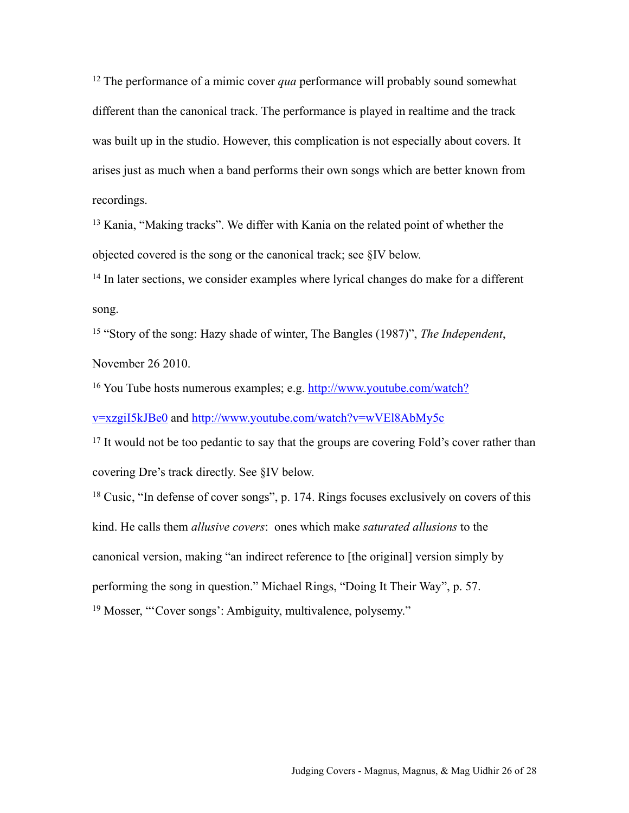<span id="page-25-0"></span>12 The performance of a mimic cover *qua* performance will probably sound somewhat different than the canonical track. The performance is played in realtime and the track was built up in the studio. However, this complication is not especially about covers. It arises just as much when a band performs their own songs which are better known from recordings.

<span id="page-25-1"></span>13 Kania, "Making tracks". We differ with Kania on the related point of whether the objected covered is the song or the canonical track; see §IV below.

<span id="page-25-2"></span><sup>14</sup> In later sections, we consider examples where lyrical changes do make for a different song.

<span id="page-25-3"></span>15 "Story of the song: Hazy shade of winter, The Bangles (1987)", *The Independent*, November 26 2010.

<span id="page-25-4"></span><sup>16</sup> You Tube hosts numerous examples; e.g. [http://www.youtube.com/watch?](http://www.youtube.com/watch?v=xzgiI5kJBe0)

[v=xzgiI5kJBe0](http://www.youtube.com/watch?v=xzgiI5kJBe0) and <http://www.youtube.com/watch?v=wVEl8AbMy5c>

<span id="page-25-5"></span><sup>17</sup> It would not be to[o pedantic to say that the groups are covering Fold's](http://www.youtube.com/watch?v=wVEl8AbMy5c) cover rather than covering Dre's track directly. See §IV below.

<span id="page-25-7"></span><span id="page-25-6"></span>18 Cusic, "In defense of cover songs", p. 174. Rings focuses exclusively on covers of this kind. He calls them *allusive covers*: ones which make *saturated allusions* to the canonical version, making "an indirect reference to [the original] version simply by performing the song in question." Michael Rings, "Doing It Their Way", p. 57. 19 Mosser, "'Cover songs': Ambiguity, multivalence, polysemy."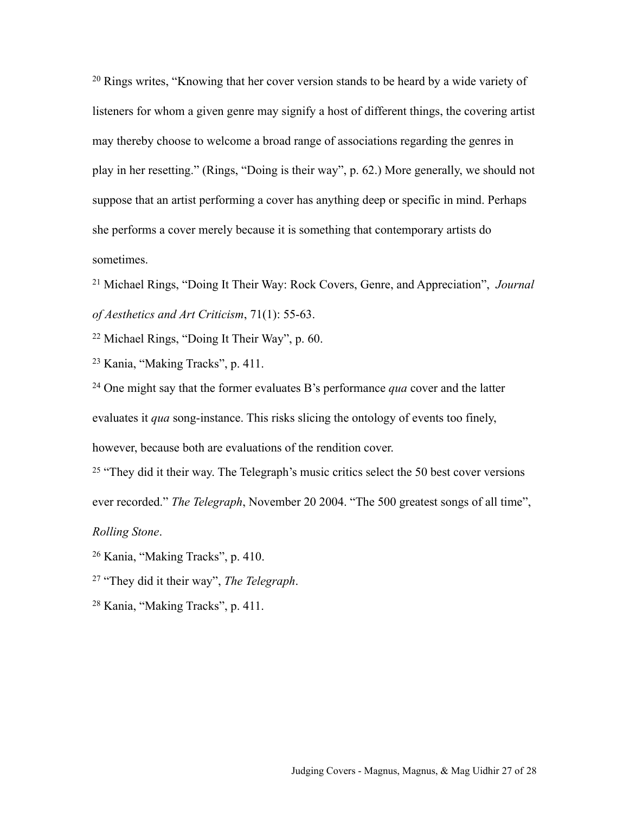<span id="page-26-0"></span><sup>20</sup> Rings writes, "Knowing that her cover version stands to be heard by a wide variety of listeners for whom a given genre may signify a host of different things, the covering artist may thereby choose to welcome a broad range of associations regarding the genres in play in her resetting." (Rings, "Doing is their way", p. 62.) More generally, we should not suppose that an artist performing a cover has anything deep or specific in mind. Perhaps she performs a cover merely because it is something that contemporary artists do sometimes.

<span id="page-26-1"></span>21 Michael Rings, "Doing It Their Way: Rock Covers, Genre, and Appreciation", *Journal of Aesthetics and Art Criticism*, 71(1): 55-63.

<span id="page-26-2"></span>22 Michael Rings, "Doing It Their Way", p. 60.

<span id="page-26-3"></span>23 Kania, "Making Tracks", p. 411.

<span id="page-26-4"></span>24 One might say that the former evaluates B's performance *qua* cover and the latter

evaluates it *qua* song-instance. This risks slicing the ontology of events too finely,

however, because both are evaluations of the rendition cover.

<span id="page-26-5"></span><sup>25</sup> "They did it their way. The Telegraph's music critics select the 50 best cover versions

ever recorded." *The Telegraph*, November 20 2004. "The 500 greatest songs of all time",

*Rolling Stone*.

<span id="page-26-6"></span>26 Kania, "Making Tracks", p. 410.

<span id="page-26-7"></span>27 "They did it their way", *The Telegraph*.

<span id="page-26-8"></span>28 Kania, "Making Tracks", p. 411.